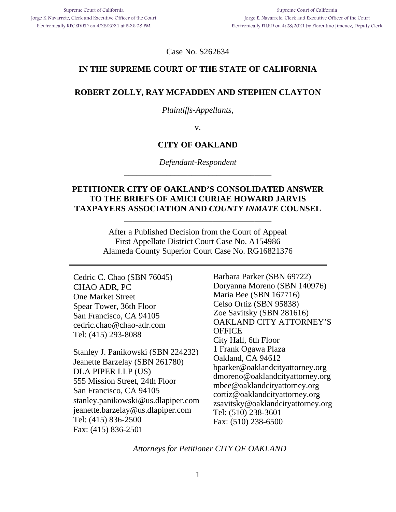Case No. S262634

#### **IN THE SUPREME COURT OF THE STATE OF CALIFORNIA**  \_\_\_\_\_\_\_\_\_\_\_\_\_\_\_\_\_\_\_\_\_\_\_\_\_\_\_\_\_\_\_\_\_\_\_

#### **ROBERT ZOLLY, RAY MCFADDEN AND STEPHEN CLAYTON**

#### *Plaintiffs-Appellants*,

v.

#### **CITY OF OAKLAND**

*Defendant-Respondent*  \_\_\_\_\_\_\_\_\_\_\_\_\_\_\_\_\_\_\_\_\_\_\_\_\_\_\_\_\_\_\_\_\_\_\_

### **PETITIONER CITY OF OAKLAND'S CONSOLIDATED ANSWER TO THE BRIEFS OF AMICI CURIAE HOWARD JARVIS TAXPAYERS ASSOCIATION AND** *COUNTY INMATE* **COUNSEL**

\_\_\_\_\_\_\_\_\_\_\_\_\_\_\_\_\_\_\_\_\_\_\_\_\_\_\_\_\_\_\_\_\_\_\_

After a Published Decision from the Court of Appeal First Appellate District Court Case No. A154986 Alameda County Superior Court Case No. RG16821376

Cedric C. Chao (SBN 76045) CHAO ADR, PC One Market Street Spear Tower, 36th Floor San Francisco, CA 94105 cedric.chao@chao-adr.com Tel: (415) 293-8088

Stanley J. Panikowski (SBN 224232) Jeanette Barzelay (SBN 261780) DLA PIPER LLP (US) 555 Mission Street, 24th Floor San Francisco, CA 94105 stanley.panikowski@us.dlapiper.com jeanette.barzelay@us.dlapiper.com Tel: (415) 836-2500 Fax: (415) 836-2501

Barbara Parker (SBN 69722) Doryanna Moreno (SBN 140976) Maria Bee (SBN 167716) Celso Ortiz (SBN 95838) Zoe Savitsky (SBN 281616) OAKLAND CITY ATTORNEY'S **OFFICE** City Hall, 6th Floor 1 Frank Ogawa Plaza Oakland, CA 94612 bparker@oaklandcityattorney.org dmoreno@oaklandcityattorney.org mbee@oaklandcityattorney.org cortiz@oaklandcityattorney.org zsavitsky@oaklandcityattorney.org Tel: (510) 238-3601 Fax: (510) 238-6500

*Attorneys for Petitioner CITY OF OAKLAND*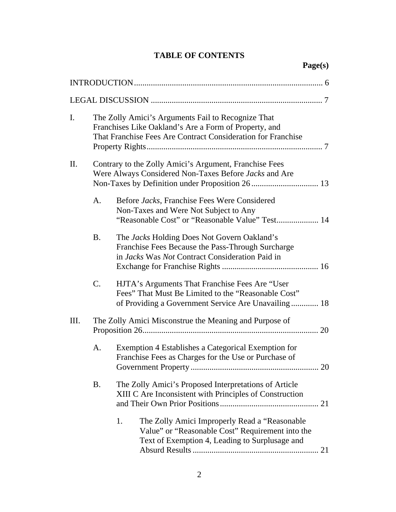# **TABLE OF CONTENTS**

| I.   | The Zolly Amici's Arguments Fail to Recognize That<br>Franchises Like Oakland's Are a Form of Property, and<br>That Franchise Fees Are Contract Consideration for Franchise |                                                                                                                  |                                                                                                                                                              |  |
|------|-----------------------------------------------------------------------------------------------------------------------------------------------------------------------------|------------------------------------------------------------------------------------------------------------------|--------------------------------------------------------------------------------------------------------------------------------------------------------------|--|
| II.  | Contrary to the Zolly Amici's Argument, Franchise Fees<br>Were Always Considered Non-Taxes Before Jacks and Are                                                             |                                                                                                                  |                                                                                                                                                              |  |
|      | A.                                                                                                                                                                          |                                                                                                                  | Before Jacks, Franchise Fees Were Considered<br>Non-Taxes and Were Not Subject to Any<br>"Reasonable Cost" or "Reasonable Value" Test 14                     |  |
|      | <b>B.</b>                                                                                                                                                                   |                                                                                                                  | The Jacks Holding Does Not Govern Oakland's<br>Franchise Fees Because the Pass-Through Surcharge<br>in Jacks Was Not Contract Consideration Paid in          |  |
|      | $\mathcal{C}$ .                                                                                                                                                             |                                                                                                                  | HJTA's Arguments That Franchise Fees Are "User<br>Fees" That Must Be Limited to the "Reasonable Cost"<br>of Providing a Government Service Are Unavailing 18 |  |
| III. | The Zolly Amici Misconstrue the Meaning and Purpose of                                                                                                                      |                                                                                                                  |                                                                                                                                                              |  |
|      | A.                                                                                                                                                                          | Exemption 4 Establishes a Categorical Exemption for<br>Franchise Fees as Charges for the Use or Purchase of      |                                                                                                                                                              |  |
|      | <b>B.</b>                                                                                                                                                                   | The Zolly Amici's Proposed Interpretations of Article<br>XIII C Are Inconsistent with Principles of Construction |                                                                                                                                                              |  |
|      |                                                                                                                                                                             | 1.                                                                                                               | The Zolly Amici Improperly Read a "Reasonable"<br>Value" or "Reasonable Cost" Requirement into the<br>Text of Exemption 4, Leading to Surplusage and         |  |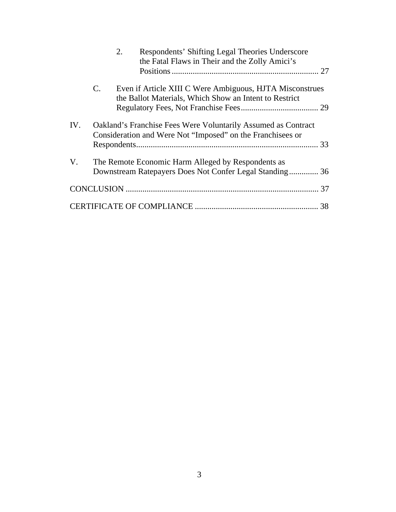|     | 2.             | Respondents' Shifting Legal Theories Underscore<br>the Fatal Flaws in Their and the Zolly Amici's                                  |    |
|-----|----------------|------------------------------------------------------------------------------------------------------------------------------------|----|
|     | $\mathbf{C}$ . | Even if Article XIII C Were Ambiguous, HJTA Misconstrues<br>the Ballot Materials, Which Show an Intent to Restrict                 |    |
| IV. |                | <b>Oakland's Franchise Fees Were Voluntarily Assumed as Contract</b><br>Consideration and Were Not "Imposed" on the Franchisees or |    |
| V.  |                | The Remote Economic Harm Alleged by Respondents as                                                                                 |    |
|     |                |                                                                                                                                    |    |
|     |                |                                                                                                                                    | 38 |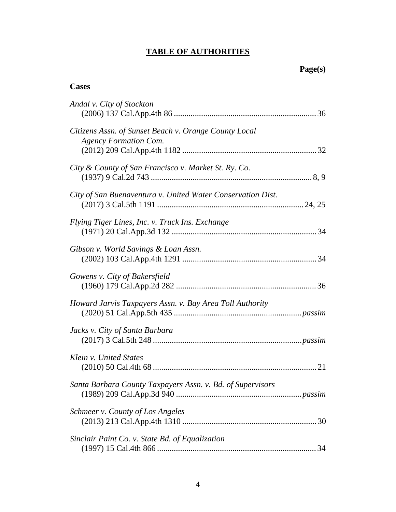# **TABLE OF AUTHORITIES**

# **Cases**

| Andal v. City of Stockton                                                             |
|---------------------------------------------------------------------------------------|
| Citizens Assn. of Sunset Beach v. Orange County Local<br><b>Agency Formation Com.</b> |
| City & County of San Francisco v. Market St. Ry. Co.                                  |
| City of San Buenaventura v. United Water Conservation Dist.                           |
| Flying Tiger Lines, Inc. v. Truck Ins. Exchange                                       |
| Gibson v. World Savings & Loan Assn.                                                  |
| Gowens v. City of Bakersfield                                                         |
| Howard Jarvis Taxpayers Assn. v. Bay Area Toll Authority                              |
| Jacks v. City of Santa Barbara                                                        |
| Klein v. United States                                                                |
| Santa Barbara County Taxpayers Assn. v. Bd. of Supervisors                            |
| Schmeer v. County of Los Angeles                                                      |
| Sinclair Paint Co. v. State Bd. of Equalization                                       |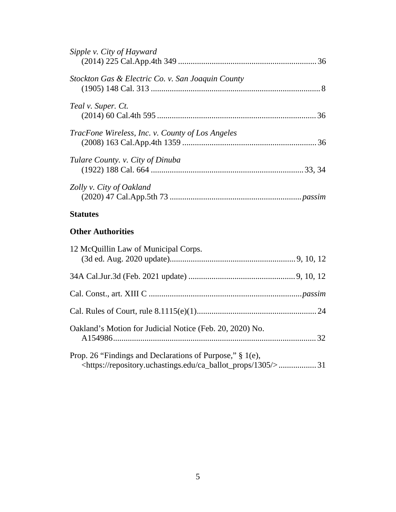| Sipple v. City of Hayward                         |  |
|---------------------------------------------------|--|
| Stockton Gas & Electric Co. v. San Joaquin County |  |
| Teal v. Super. Ct.                                |  |
| TracFone Wireless, Inc. v. County of Los Angeles  |  |
| Tulare County. v. City of Dinuba                  |  |
| Zolly v. City of Oakland                          |  |
| <b>Statutes</b>                                   |  |

# **Other Authorities**

| 12 McQuillin Law of Municipal Corps.                                                                                                     |  |
|------------------------------------------------------------------------------------------------------------------------------------------|--|
|                                                                                                                                          |  |
|                                                                                                                                          |  |
|                                                                                                                                          |  |
| Oakland's Motion for Judicial Notice (Feb. 20, 2020) No.                                                                                 |  |
| Prop. 26 "Findings and Declarations of Purpose," § 1(e),<br><https: 1305="" ca_ballot_props="" repository.uchastings.edu=""></https:> 31 |  |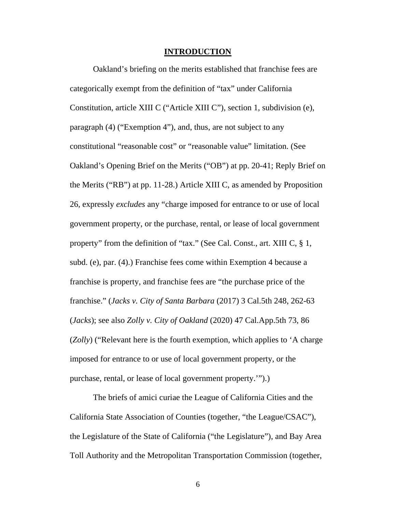#### **INTRODUCTION**

Oakland's briefing on the merits established that franchise fees are categorically exempt from the definition of "tax" under California Constitution, article XIII C ("Article XIII C"), section 1, subdivision (e), paragraph (4) ("Exemption 4"), and, thus, are not subject to any constitutional "reasonable cost" or "reasonable value" limitation. (See Oakland's Opening Brief on the Merits ("OB") at pp. 20-41; Reply Brief on the Merits ("RB") at pp. 11-28.) Article XIII C, as amended by Proposition 26, expressly *excludes* any "charge imposed for entrance to or use of local government property, or the purchase, rental, or lease of local government property" from the definition of "tax." (See Cal. Const., art. XIII C, § 1, subd. (e), par. (4).) Franchise fees come within Exemption 4 because a franchise is property, and franchise fees are "the purchase price of the franchise." (*Jacks v. City of Santa Barbara* (2017) 3 Cal.5th 248, 262-63 (*Jacks*); see also *Zolly v. City of Oakland* (2020) 47 Cal.App.5th 73, 86 (*Zolly*) ("Relevant here is the fourth exemption, which applies to 'A charge imposed for entrance to or use of local government property, or the purchase, rental, or lease of local government property.'").)

The briefs of amici curiae the League of California Cities and the California State Association of Counties (together, "the League/CSAC"), the Legislature of the State of California ("the Legislature"), and Bay Area Toll Authority and the Metropolitan Transportation Commission (together,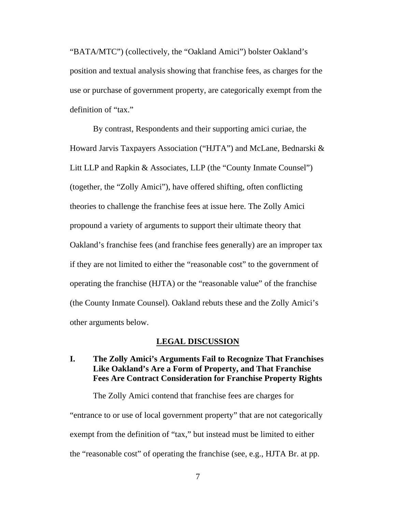"BATA/MTC") (collectively, the "Oakland Amici") bolster Oakland's position and textual analysis showing that franchise fees, as charges for the use or purchase of government property, are categorically exempt from the definition of "tax."

By contrast, Respondents and their supporting amici curiae, the Howard Jarvis Taxpayers Association ("HJTA") and McLane, Bednarski & Litt LLP and Rapkin & Associates, LLP (the "County Inmate Counsel") (together, the "Zolly Amici"), have offered shifting, often conflicting theories to challenge the franchise fees at issue here. The Zolly Amici propound a variety of arguments to support their ultimate theory that Oakland's franchise fees (and franchise fees generally) are an improper tax if they are not limited to either the "reasonable cost" to the government of operating the franchise (HJTA) or the "reasonable value" of the franchise (the County Inmate Counsel). Oakland rebuts these and the Zolly Amici's other arguments below.

#### **LEGAL DISCUSSION**

## **I. The Zolly Amici's Arguments Fail to Recognize That Franchises Like Oakland's Are a Form of Property, and That Franchise Fees Are Contract Consideration for Franchise Property Rights**

The Zolly Amici contend that franchise fees are charges for

"entrance to or use of local government property" that are not categorically exempt from the definition of "tax," but instead must be limited to either the "reasonable cost" of operating the franchise (see, e.g., HJTA Br. at pp.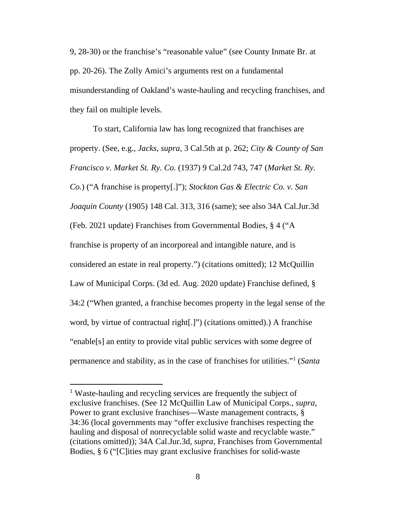9, 28-30) or the franchise's "reasonable value" (see County Inmate Br. at pp. 20-26). The Zolly Amici's arguments rest on a fundamental misunderstanding of Oakland's waste-hauling and recycling franchises, and they fail on multiple levels.

To start, California law has long recognized that franchises are property. (See, e.g., *Jacks*, *supra*, 3 Cal.5th at p. 262; *City & County of San Francisco v. Market St. Ry. Co.* (1937) 9 Cal.2d 743, 747 (*Market St. Ry. Co.*) ("A franchise is property[.]"); *Stockton Gas & Electric Co. v. San Joaquin County* (1905) 148 Cal. 313, 316 (same); see also 34A Cal.Jur.3d (Feb. 2021 update) Franchises from Governmental Bodies, § 4 ("A franchise is property of an incorporeal and intangible nature, and is considered an estate in real property.") (citations omitted); 12 McQuillin Law of Municipal Corps. (3d ed. Aug. 2020 update) Franchise defined, § 34:2 ("When granted, a franchise becomes property in the legal sense of the word, by virtue of contractual right[.]") (citations omitted).) A franchise "enable[s] an entity to provide vital public services with some degree of permanence and stability, as in the case of franchises for utilities."<sup>1</sup> (*Santa* 

<sup>&</sup>lt;sup>1</sup> Waste-hauling and recycling services are frequently the subject of exclusive franchises. (See 12 McQuillin Law of Municipal Corps., *supra*, Power to grant exclusive franchises—Waste management contracts, § 34:36 (local governments may "offer exclusive franchises respecting the hauling and disposal of nonrecyclable solid waste and recyclable waste." (citations omitted)); 34A Cal.Jur.3d, *supra*, Franchises from Governmental Bodies, § 6 ("[C]ities may grant exclusive franchises for solid-waste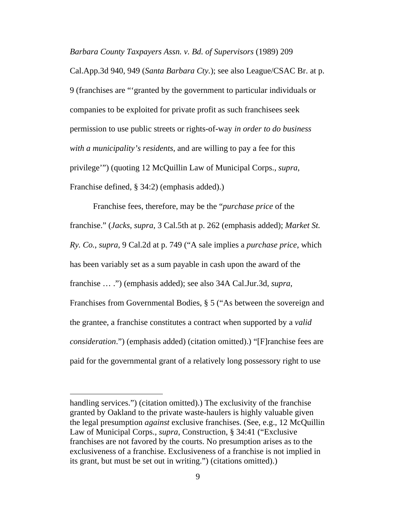*Barbara County Taxpayers Assn. v. Bd. of Supervisors* (1989) 209

Cal.App.3d 940, 949 (*Santa Barbara Cty.*); see also League/CSAC Br. at p. 9 (franchises are "'granted by the government to particular individuals or companies to be exploited for private profit as such franchisees seek permission to use public streets or rights-of-way *in order to do business with a municipality's residents*, and are willing to pay a fee for this privilege'") (quoting 12 McQuillin Law of Municipal Corps., *supra*, Franchise defined, § 34:2) (emphasis added).)

Franchise fees, therefore, may be the "*purchase price* of the franchise." (*Jacks*, *supra*, 3 Cal.5th at p. 262 (emphasis added); *Market St. Ry. Co.*, *supra*, 9 Cal.2d at p. 749 ("A sale implies a *purchase price*, which has been variably set as a sum payable in cash upon the award of the franchise … .") (emphasis added); see also 34A Cal.Jur.3d, *supra*, Franchises from Governmental Bodies, § 5 ("As between the sovereign and the grantee, a franchise constitutes a contract when supported by a *valid consideration*.") (emphasis added) (citation omitted).) "[F]ranchise fees are paid for the governmental grant of a relatively long possessory right to use

handling services.") (citation omitted).) The exclusivity of the franchise granted by Oakland to the private waste-haulers is highly valuable given the legal presumption *against* exclusive franchises. (See, e.g., 12 McQuillin Law of Municipal Corps., *supra*, Construction, § 34:41 ("Exclusive franchises are not favored by the courts. No presumption arises as to the exclusiveness of a franchise. Exclusiveness of a franchise is not implied in its grant, but must be set out in writing.") (citations omitted).)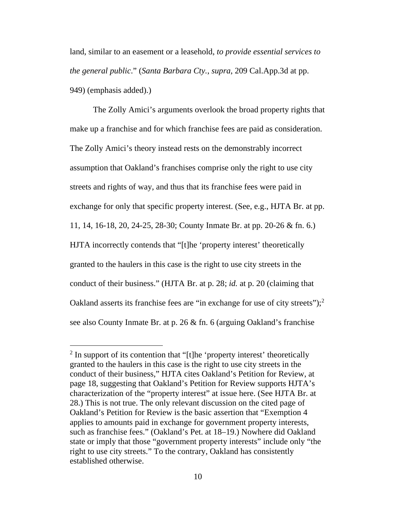land, similar to an easement or a leasehold, *to provide essential services to the general public*." (*Santa Barbara Cty.*, *supra*, 209 Cal.App.3d at pp. 949) (emphasis added).)

The Zolly Amici's arguments overlook the broad property rights that make up a franchise and for which franchise fees are paid as consideration. The Zolly Amici's theory instead rests on the demonstrably incorrect assumption that Oakland's franchises comprise only the right to use city streets and rights of way, and thus that its franchise fees were paid in exchange for only that specific property interest. (See, e.g., HJTA Br. at pp. 11, 14, 16-18, 20, 24-25, 28-30; County Inmate Br. at pp. 20-26 & fn. 6.) HJTA incorrectly contends that "[t]he 'property interest' theoretically granted to the haulers in this case is the right to use city streets in the conduct of their business." (HJTA Br. at p. 28; *id.* at p. 20 (claiming that Oakland asserts its franchise fees are "in exchange for use of city streets");  $2^2$ see also County Inmate Br. at p. 26 & fn. 6 (arguing Oakland's franchise

<sup>&</sup>lt;sup>2</sup> In support of its contention that "[t]he 'property interest' theoretically granted to the haulers in this case is the right to use city streets in the conduct of their business," HJTA cites Oakland's Petition for Review, at page 18, suggesting that Oakland's Petition for Review supports HJTA's characterization of the "property interest" at issue here. (See HJTA Br. at 28.) This is not true. The only relevant discussion on the cited page of Oakland's Petition for Review is the basic assertion that "Exemption 4 applies to amounts paid in exchange for government property interests, such as franchise fees." (Oakland's Pet. at 18–19.) Nowhere did Oakland state or imply that those "government property interests" include only "the right to use city streets." To the contrary, Oakland has consistently established otherwise.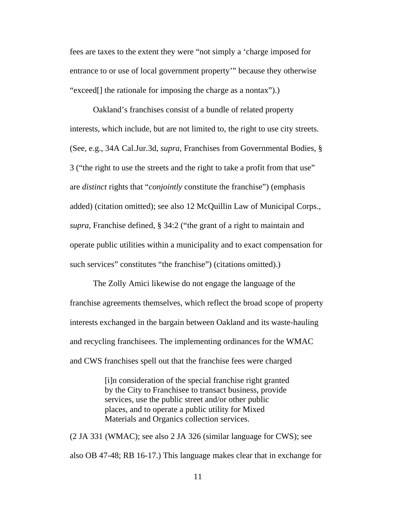fees are taxes to the extent they were "not simply a 'charge imposed for entrance to or use of local government property'" because they otherwise "exceed[] the rationale for imposing the charge as a nontax").)

Oakland's franchises consist of a bundle of related property interests, which include, but are not limited to, the right to use city streets. (See, e.g., 34A Cal.Jur.3d, *supra*, Franchises from Governmental Bodies, § 3 ("the right to use the streets and the right to take a profit from that use" are *distinct* rights that "*conjointly* constitute the franchise") (emphasis added) (citation omitted); see also 12 McQuillin Law of Municipal Corps., *supra*, Franchise defined, § 34:2 ("the grant of a right to maintain and operate public utilities within a municipality and to exact compensation for such services" constitutes "the franchise") (citations omitted).)

The Zolly Amici likewise do not engage the language of the franchise agreements themselves, which reflect the broad scope of property interests exchanged in the bargain between Oakland and its waste-hauling and recycling franchisees. The implementing ordinances for the WMAC and CWS franchises spell out that the franchise fees were charged

> [i]n consideration of the special franchise right granted by the City to Franchisee to transact business, provide services, use the public street and/or other public places, and to operate a public utility for Mixed Materials and Organics collection services.

(2 JA 331 (WMAC); see also 2 JA 326 (similar language for CWS); see also OB 47-48; RB 16-17.) This language makes clear that in exchange for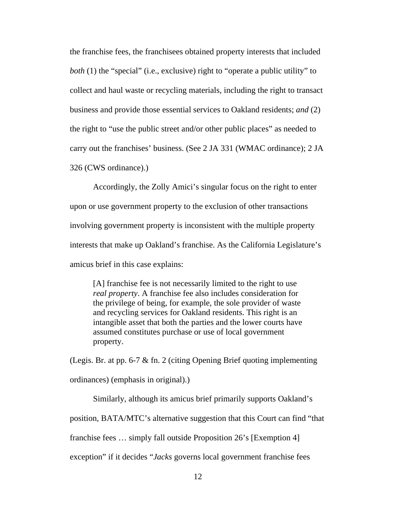the franchise fees, the franchisees obtained property interests that included *both* (1) the "special" (i.e., exclusive) right to "operate a public utility" to collect and haul waste or recycling materials, including the right to transact business and provide those essential services to Oakland residents; *and* (2) the right to "use the public street and/or other public places" as needed to carry out the franchises' business. (See 2 JA 331 (WMAC ordinance); 2 JA 326 (CWS ordinance).)

Accordingly, the Zolly Amici's singular focus on the right to enter upon or use government property to the exclusion of other transactions involving government property is inconsistent with the multiple property interests that make up Oakland's franchise. As the California Legislature's amicus brief in this case explains:

[A] franchise fee is not necessarily limited to the right to use *real property*. A franchise fee also includes consideration for the privilege of being, for example, the sole provider of waste and recycling services for Oakland residents. This right is an intangible asset that both the parties and the lower courts have assumed constitutes purchase or use of local government property.

(Legis. Br. at pp. 6-7 & fn. 2 (citing Opening Brief quoting implementing ordinances) (emphasis in original).)

Similarly, although its amicus brief primarily supports Oakland's

position, BATA/MTC's alternative suggestion that this Court can find "that

franchise fees … simply fall outside Proposition 26's [Exemption 4]

exception" if it decides "*Jacks* governs local government franchise fees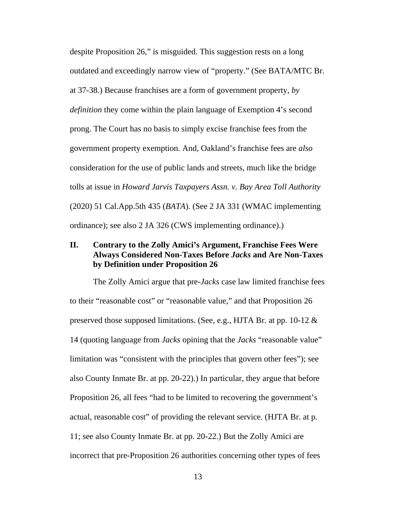despite Proposition 26," is misguided. This suggestion rests on a long outdated and exceedingly narrow view of "property." (See BATA/MTC Br. at 37-38.) Because franchises are a form of government property, *by definition* they come within the plain language of Exemption 4's second prong. The Court has no basis to simply excise franchise fees from the government property exemption. And, Oakland's franchise fees are *also*  consideration for the use of public lands and streets, much like the bridge tolls at issue in *Howard Jarvis Taxpayers Assn. v. Bay Area Toll Authority* (2020) 51 Cal.App.5th 435 (*BATA*). (See 2 JA 331 (WMAC implementing ordinance); see also 2 JA 326 (CWS implementing ordinance).)

## **II. Contrary to the Zolly Amici's Argument, Franchise Fees Were Always Considered Non-Taxes Before** *Jacks* **and Are Non-Taxes by Definition under Proposition 26**

The Zolly Amici argue that pre-*Jacks* case law limited franchise fees to their "reasonable cost" or "reasonable value," and that Proposition 26 preserved those supposed limitations. (See, e.g., HJTA Br. at pp. 10-12 & 14 (quoting language from *Jacks* opining that the *Jacks* "reasonable value" limitation was "consistent with the principles that govern other fees"); see also County Inmate Br. at pp. 20-22).) In particular, they argue that before Proposition 26, all fees "had to be limited to recovering the government's actual, reasonable cost" of providing the relevant service. (HJTA Br. at p. 11; see also County Inmate Br. at pp. 20-22.) But the Zolly Amici are incorrect that pre-Proposition 26 authorities concerning other types of fees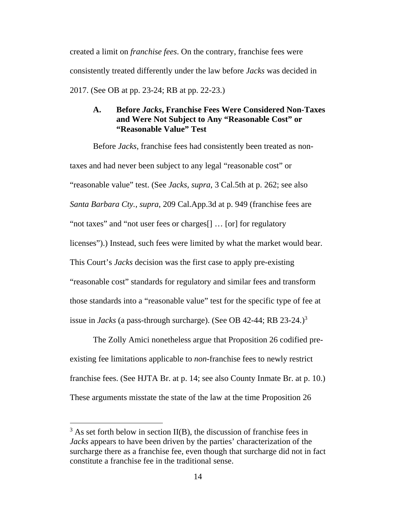created a limit on *franchise fees*. On the contrary, franchise fees were consistently treated differently under the law before *Jacks* was decided in 2017. (See OB at pp. 23-24; RB at pp. 22-23.)

### **A. Before** *Jacks***, Franchise Fees Were Considered Non-Taxes and Were Not Subject to Any "Reasonable Cost" or "Reasonable Value" Test**

Before *Jacks*, franchise fees had consistently been treated as nontaxes and had never been subject to any legal "reasonable cost" or "reasonable value" test. (See *Jacks*, *supra*, 3 Cal.5th at p. 262; see also *Santa Barbara Cty.*, *supra*, 209 Cal.App.3d at p. 949 (franchise fees are "not taxes" and "not user fees or charges[] … [or] for regulatory licenses").) Instead, such fees were limited by what the market would bear. This Court's *Jacks* decision was the first case to apply pre-existing "reasonable cost" standards for regulatory and similar fees and transform those standards into a "reasonable value" test for the specific type of fee at issue in *Jacks* (a pass-through surcharge). (See OB 42-44; RB 23-24.)<sup>3</sup>

The Zolly Amici nonetheless argue that Proposition 26 codified preexisting fee limitations applicable to *non*-franchise fees to newly restrict franchise fees. (See HJTA Br. at p. 14; see also County Inmate Br. at p. 10.) These arguments misstate the state of the law at the time Proposition 26

 $3$  As set forth below in section II(B), the discussion of franchise fees in *Jacks* appears to have been driven by the parties' characterization of the surcharge there as a franchise fee, even though that surcharge did not in fact constitute a franchise fee in the traditional sense.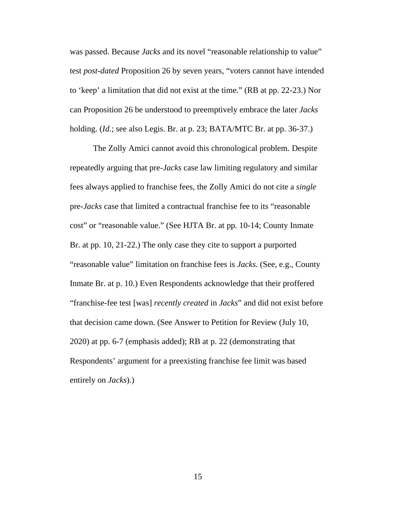was passed. Because *Jacks* and its novel "reasonable relationship to value" test *post-dated* Proposition 26 by seven years, "voters cannot have intended to 'keep' a limitation that did not exist at the time." (RB at pp. 22-23.) Nor can Proposition 26 be understood to preemptively embrace the later *Jacks* holding. (*Id.*; see also Legis. Br. at p. 23; BATA/MTC Br. at pp. 36-37.)

The Zolly Amici cannot avoid this chronological problem. Despite repeatedly arguing that pre-*Jacks* case law limiting regulatory and similar fees always applied to franchise fees, the Zolly Amici do not cite a *single* pre-*Jacks* case that limited a contractual franchise fee to its "reasonable cost" or "reasonable value." (See HJTA Br. at pp. 10-14; County Inmate Br. at pp. 10, 21-22.) The only case they cite to support a purported "reasonable value" limitation on franchise fees is *Jacks*. (See, e.g., County Inmate Br. at p. 10.) Even Respondents acknowledge that their proffered "franchise-fee test [was] *recently created* in *Jacks*" and did not exist before that decision came down. (See Answer to Petition for Review (July 10, 2020) at pp. 6-7 (emphasis added); RB at p. 22 (demonstrating that Respondents' argument for a preexisting franchise fee limit was based entirely on *Jacks*).)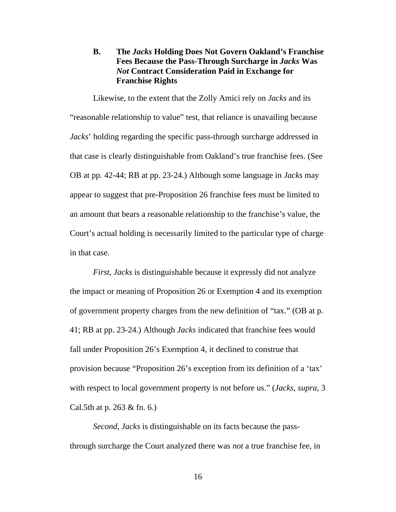## **B. The** *Jacks* **Holding Does Not Govern Oakland's Franchise Fees Because the Pass-Through Surcharge in** *Jacks* **Was**  *Not* **Contract Consideration Paid in Exchange for Franchise Rights**

Likewise, to the extent that the Zolly Amici rely on *Jacks* and its "reasonable relationship to value" test, that reliance is unavailing because *Jacks*' holding regarding the specific pass-through surcharge addressed in that case is clearly distinguishable from Oakland's true franchise fees. (See OB at pp. 42-44; RB at pp. 23-24.) Although some language in *Jacks* may appear to suggest that pre-Proposition 26 franchise fees must be limited to an amount that bears a reasonable relationship to the franchise's value, the Court's actual holding is necessarily limited to the particular type of charge in that case.

*First*, *Jacks* is distinguishable because it expressly did not analyze the impact or meaning of Proposition 26 or Exemption 4 and its exemption of government property charges from the new definition of "tax." (OB at p. 41; RB at pp. 23-24.) Although *Jacks* indicated that franchise fees would fall under Proposition 26's Exemption 4, it declined to construe that provision because "Proposition 26's exception from its definition of a 'tax' with respect to local government property is not before us." (*Jacks*, *supra*, 3 Cal.5th at p. 263 & fn. 6.)

*Second*, *Jacks* is distinguishable on its facts because the passthrough surcharge the Court analyzed there was *not* a true franchise fee, in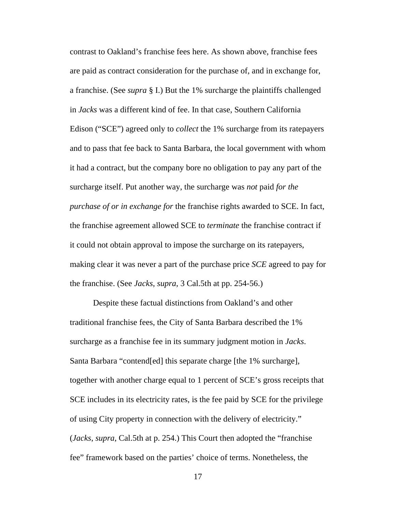contrast to Oakland's franchise fees here. As shown above, franchise fees are paid as contract consideration for the purchase of, and in exchange for, a franchise. (See *supra* § I.) But the 1% surcharge the plaintiffs challenged in *Jacks* was a different kind of fee. In that case, Southern California Edison ("SCE") agreed only to *collect* the 1% surcharge from its ratepayers and to pass that fee back to Santa Barbara, the local government with whom it had a contract, but the company bore no obligation to pay any part of the surcharge itself. Put another way, the surcharge was *not* paid *for the purchase of or in exchange for* the franchise rights awarded to SCE. In fact, the franchise agreement allowed SCE to *terminate* the franchise contract if it could not obtain approval to impose the surcharge on its ratepayers, making clear it was never a part of the purchase price *SCE* agreed to pay for the franchise. (See *Jacks*, *supra*, 3 Cal.5th at pp. 254-56.)

Despite these factual distinctions from Oakland's and other traditional franchise fees, the City of Santa Barbara described the 1% surcharge as a franchise fee in its summary judgment motion in *Jacks*. Santa Barbara "contend[ed] this separate charge [the 1% surcharge], together with another charge equal to 1 percent of SCE's gross receipts that SCE includes in its electricity rates, is the fee paid by SCE for the privilege of using City property in connection with the delivery of electricity." (*Jacks*, *supra*, Cal.5th at p. 254.) This Court then adopted the "franchise fee" framework based on the parties' choice of terms. Nonetheless, the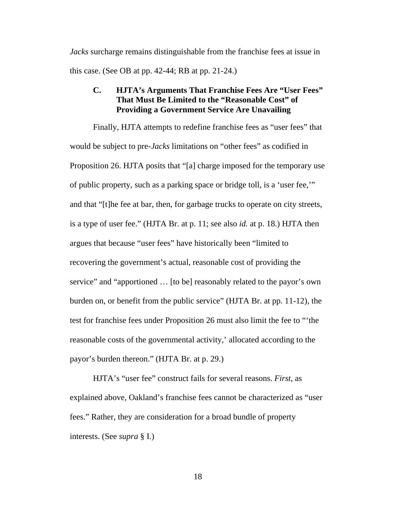*Jacks* surcharge remains distinguishable from the franchise fees at issue in this case. (See OB at pp. 42-44; RB at pp. 21-24.)

## **C. HJTA's Arguments That Franchise Fees Are "User Fees" That Must Be Limited to the "Reasonable Cost" of Providing a Government Service Are Unavailing**

Finally, HJTA attempts to redefine franchise fees as "user fees" that would be subject to pre-*Jacks* limitations on "other fees" as codified in Proposition 26. HJTA posits that "[a] charge imposed for the temporary use of public property, such as a parking space or bridge toll, is a 'user fee,'" and that "[t]he fee at bar, then, for garbage trucks to operate on city streets, is a type of user fee." (HJTA Br. at p. 11; see also *id.* at p. 18.) HJTA then argues that because "user fees" have historically been "limited to recovering the government's actual, reasonable cost of providing the service" and "apportioned … [to be] reasonably related to the payor's own burden on, or benefit from the public service" (HJTA Br. at pp. 11-12), the test for franchise fees under Proposition 26 must also limit the fee to "'the reasonable costs of the governmental activity,' allocated according to the payor's burden thereon." (HJTA Br. at p. 29.)

HJTA's "user fee" construct fails for several reasons. *First*, as explained above, Oakland's franchise fees cannot be characterized as "user fees." Rather, they are consideration for a broad bundle of property interests. (See *supra* § I.)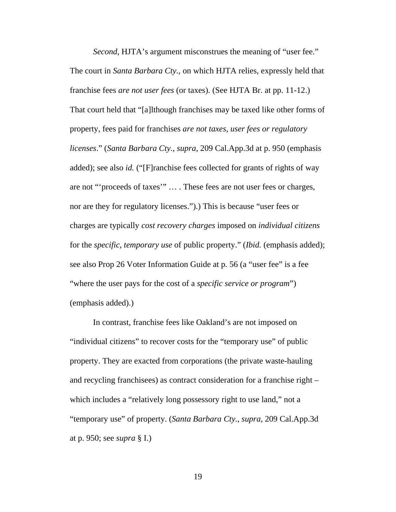*Second*, HJTA's argument misconstrues the meaning of "user fee." The court in *Santa Barbara Cty.*, on which HJTA relies, expressly held that franchise fees *are not user fees* (or taxes). (See HJTA Br. at pp. 11-12.) That court held that "[a]lthough franchises may be taxed like other forms of property, fees paid for franchises *are not taxes, user fees or regulatory licenses*." (*Santa Barbara Cty.*, *supra*, 209 Cal.App.3d at p. 950 (emphasis added); see also *id.* ("[F]ranchise fees collected for grants of rights of way are not "'proceeds of taxes'" … . These fees are not user fees or charges, nor are they for regulatory licenses.").) This is because "user fees or charges are typically *cost recovery charges* imposed on *individual citizens* for the *specific, temporary use* of public property." (*Ibid.* (emphasis added); see also Prop 26 Voter Information Guide at p. 56 (a "user fee" is a fee "where the user pays for the cost of a *specific service or program*") (emphasis added).)

In contrast, franchise fees like Oakland's are not imposed on "individual citizens" to recover costs for the "temporary use" of public property. They are exacted from corporations (the private waste-hauling and recycling franchisees) as contract consideration for a franchise right – which includes a "relatively long possessory right to use land," not a "temporary use" of property. (*Santa Barbara Cty.*, *supra*, 209 Cal.App.3d at p. 950; see *supra* § I.)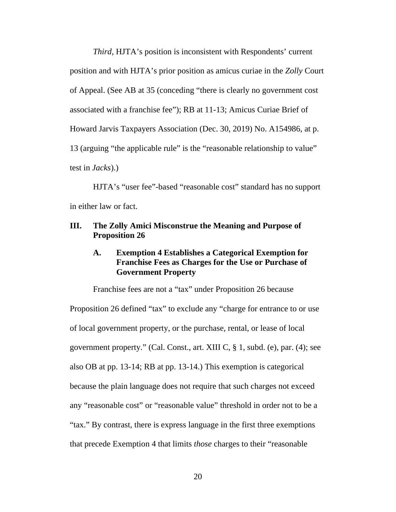*Third*, HJTA's position is inconsistent with Respondents' current position and with HJTA's prior position as amicus curiae in the *Zolly* Court of Appeal. (See AB at 35 (conceding "there is clearly no government cost associated with a franchise fee"); RB at 11-13; Amicus Curiae Brief of Howard Jarvis Taxpayers Association (Dec. 30, 2019) No. A154986, at p. 13 (arguing "the applicable rule" is the "reasonable relationship to value" test in *Jacks*).)

HJTA's "user fee"-based "reasonable cost" standard has no support in either law or fact.

### **III. The Zolly Amici Misconstrue the Meaning and Purpose of Proposition 26**

## **A. Exemption 4 Establishes a Categorical Exemption for Franchise Fees as Charges for the Use or Purchase of Government Property**

Franchise fees are not a "tax" under Proposition 26 because Proposition 26 defined "tax" to exclude any "charge for entrance to or use of local government property, or the purchase, rental, or lease of local government property." (Cal. Const., art. XIII C, § 1, subd. (e), par. (4); see also OB at pp. 13-14; RB at pp. 13-14.) This exemption is categorical because the plain language does not require that such charges not exceed any "reasonable cost" or "reasonable value" threshold in order not to be a "tax." By contrast, there is express language in the first three exemptions that precede Exemption 4 that limits *those* charges to their "reasonable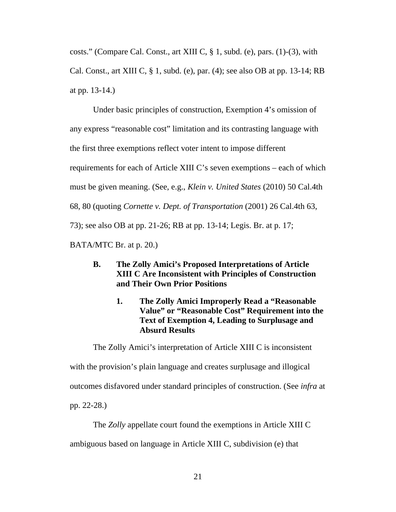costs." (Compare Cal. Const., art XIII C, § 1, subd. (e), pars. (1)-(3), with Cal. Const., art XIII C, § 1, subd. (e), par. (4); see also OB at pp. 13-14; RB at pp. 13-14.)

Under basic principles of construction, Exemption 4's omission of any express "reasonable cost" limitation and its contrasting language with the first three exemptions reflect voter intent to impose different requirements for each of Article XIII C's seven exemptions – each of which must be given meaning. (See, e.g., *Klein v. United States* (2010) 50 Cal.4th 68, 80 (quoting *Cornette v. Dept. of Transportation* (2001) 26 Cal.4th 63, 73); see also OB at pp. 21-26; RB at pp. 13-14; Legis. Br. at p. 17; BATA/MTC Br. at p. 20.)

- **B. The Zolly Amici's Proposed Interpretations of Article XIII C Are Inconsistent with Principles of Construction and Their Own Prior Positions** 
	- **1. The Zolly Amici Improperly Read a "Reasonable Value" or "Reasonable Cost" Requirement into the Text of Exemption 4, Leading to Surplusage and Absurd Results**

The Zolly Amici's interpretation of Article XIII C is inconsistent with the provision's plain language and creates surplusage and illogical outcomes disfavored under standard principles of construction. (See *infra* at pp. 22-28.)

The *Zolly* appellate court found the exemptions in Article XIII C ambiguous based on language in Article XIII C, subdivision (e) that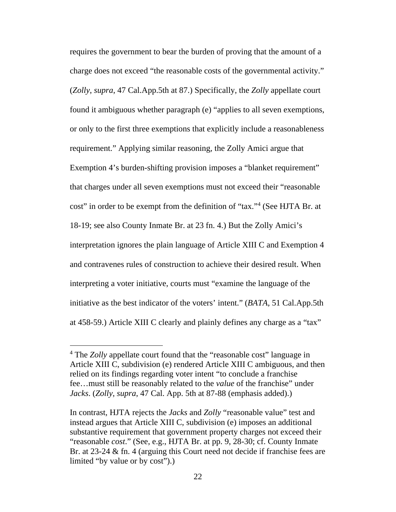requires the government to bear the burden of proving that the amount of a charge does not exceed "the reasonable costs of the governmental activity." (*Zolly*, *supra*, 47 Cal.App.5th at 87.) Specifically, the *Zolly* appellate court found it ambiguous whether paragraph (e) "applies to all seven exemptions, or only to the first three exemptions that explicitly include a reasonableness requirement." Applying similar reasoning, the Zolly Amici argue that Exemption 4's burden-shifting provision imposes a "blanket requirement" that charges under all seven exemptions must not exceed their "reasonable cost" in order to be exempt from the definition of "tax."<sup>4</sup> (See HJTA Br. at 18-19; see also County Inmate Br. at 23 fn. 4.) But the Zolly Amici's interpretation ignores the plain language of Article XIII C and Exemption 4 and contravenes rules of construction to achieve their desired result. When interpreting a voter initiative, courts must "examine the language of the initiative as the best indicator of the voters' intent." (*BATA,* 51 Cal.App.5th at 458-59.) Article XIII C clearly and plainly defines any charge as a "tax"

<sup>&</sup>lt;sup>4</sup> The *Zolly* appellate court found that the "reasonable cost" language in Article XIII C, subdivision (e) rendered Article XIII C ambiguous, and then relied on its findings regarding voter intent "to conclude a franchise fee…must still be reasonably related to the *value* of the franchise" under *Jacks*. (*Zolly*, *supra*, 47 Cal. App. 5th at 87-88 (emphasis added).)

In contrast, HJTA rejects the *Jacks* and *Zolly* "reasonable value" test and instead argues that Article XIII C, subdivision (e) imposes an additional substantive requirement that government property charges not exceed their "reasonable *cost*." (See, e.g., HJTA Br. at pp. 9, 28-30; cf. County Inmate Br. at 23-24 & fn. 4 (arguing this Court need not decide if franchise fees are limited "by value or by cost").)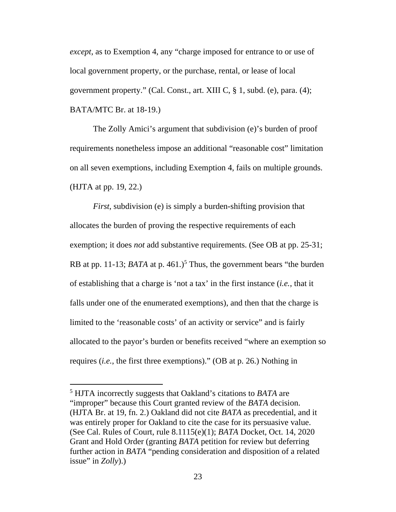*except*, as to Exemption 4, any "charge imposed for entrance to or use of local government property, or the purchase, rental, or lease of local government property." (Cal. Const., art. XIII C, § 1, subd. (e), para. (4); BATA/MTC Br. at 18-19.)

The Zolly Amici's argument that subdivision (e)'s burden of proof requirements nonetheless impose an additional "reasonable cost" limitation on all seven exemptions, including Exemption 4, fails on multiple grounds. (HJTA at pp. 19, 22.)

*First*, subdivision (e) is simply a burden-shifting provision that allocates the burden of proving the respective requirements of each exemption; it does *not* add substantive requirements. (See OB at pp. 25-31; RB at pp. 11-13; *BATA* at p. 461.)<sup>5</sup> Thus, the government bears "the burden of establishing that a charge is 'not a tax' in the first instance (*i.e.*, that it falls under one of the enumerated exemptions), and then that the charge is limited to the 'reasonable costs' of an activity or service" and is fairly allocated to the payor's burden or benefits received "where an exemption so requires (*i.e.*, the first three exemptions)." (OB at p. 26.) Nothing in

<sup>5</sup> HJTA incorrectly suggests that Oakland's citations to *BATA* are "improper" because this Court granted review of the *BATA* decision. (HJTA Br. at 19, fn. 2.) Oakland did not cite *BATA* as precedential, and it was entirely proper for Oakland to cite the case for its persuasive value. (See Cal. Rules of Court, rule 8.1115(e)(1); *BATA* Docket, Oct. 14, 2020 Grant and Hold Order (granting *BATA* petition for review but deferring further action in *BATA* "pending consideration and disposition of a related issue" in *Zolly*).)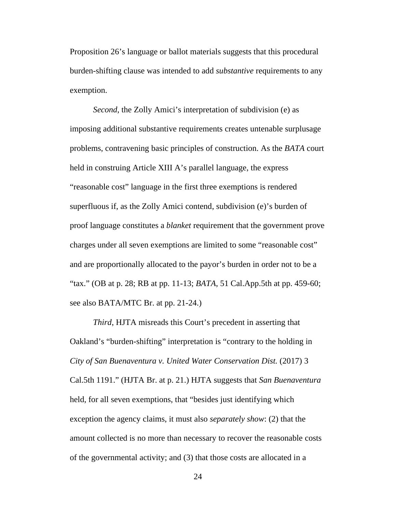Proposition 26's language or ballot materials suggests that this procedural burden-shifting clause was intended to add *substantive* requirements to any exemption.

*Second*, the Zolly Amici's interpretation of subdivision (e) as imposing additional substantive requirements creates untenable surplusage problems, contravening basic principles of construction. As the *BATA* court held in construing Article XIII A's parallel language, the express "reasonable cost" language in the first three exemptions is rendered superfluous if, as the Zolly Amici contend, subdivision (e)'s burden of proof language constitutes a *blanket* requirement that the government prove charges under all seven exemptions are limited to some "reasonable cost" and are proportionally allocated to the payor's burden in order not to be a "tax." (OB at p. 28; RB at pp. 11-13; *BATA*, 51 Cal.App.5th at pp. 459-60; see also BATA/MTC Br. at pp. 21-24.)

*Third*, HJTA misreads this Court's precedent in asserting that Oakland's "burden-shifting" interpretation is "contrary to the holding in *City of San Buenaventura v. United Water Conservation Dist.* (2017) 3 Cal.5th 1191." (HJTA Br. at p. 21.) HJTA suggests that *San Buenaventura*  held, for all seven exemptions, that "besides just identifying which exception the agency claims, it must also *separately show*: (2) that the amount collected is no more than necessary to recover the reasonable costs of the governmental activity; and (3) that those costs are allocated in a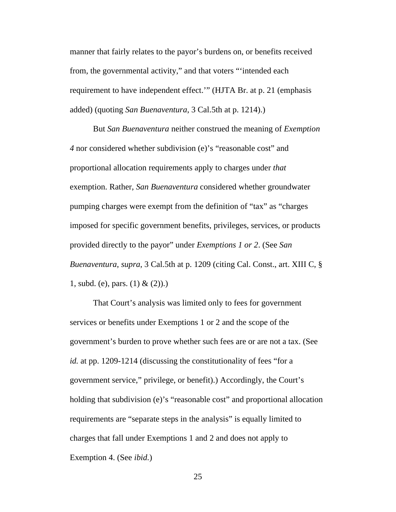manner that fairly relates to the payor's burdens on, or benefits received from, the governmental activity," and that voters "'intended each requirement to have independent effect.'" (HJTA Br. at p. 21 (emphasis added) (quoting *San Buenaventura*, 3 Cal.5th at p. 1214).)

But *San Buenaventura* neither construed the meaning of *Exemption 4* nor considered whether subdivision (e)'s "reasonable cost" and proportional allocation requirements apply to charges under *that*  exemption. Rather, *San Buenaventura* considered whether groundwater pumping charges were exempt from the definition of "tax" as "charges imposed for specific government benefits, privileges, services, or products provided directly to the payor" under *Exemptions 1 or 2*. (See *San Buenaventura*, *supra*, 3 Cal.5th at p. 1209 (citing Cal. Const., art. XIII C, § 1, subd. (e), pars.  $(1) & (2)$ .

That Court's analysis was limited only to fees for government services or benefits under Exemptions 1 or 2 and the scope of the government's burden to prove whether such fees are or are not a tax. (See *id.* at pp. 1209-1214 (discussing the constitutionality of fees "for a government service," privilege, or benefit).) Accordingly, the Court's holding that subdivision (e)'s "reasonable cost" and proportional allocation requirements are "separate steps in the analysis" is equally limited to charges that fall under Exemptions 1 and 2 and does not apply to Exemption 4. (See *ibid.*)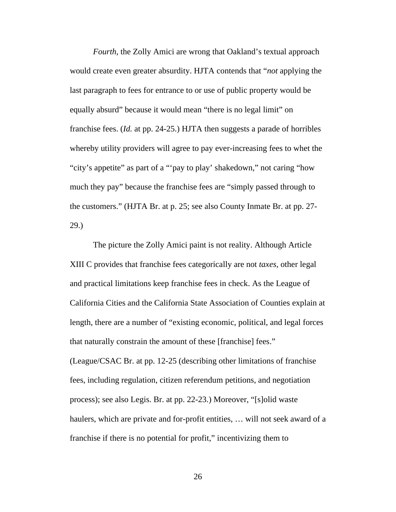*Fourth*, the Zolly Amici are wrong that Oakland's textual approach would create even greater absurdity. HJTA contends that "*not* applying the last paragraph to fees for entrance to or use of public property would be equally absurd" because it would mean "there is no legal limit" on franchise fees. (*Id.* at pp. 24-25.) HJTA then suggests a parade of horribles whereby utility providers will agree to pay ever-increasing fees to whet the "city's appetite" as part of a "'pay to play' shakedown," not caring "how much they pay" because the franchise fees are "simply passed through to the customers." (HJTA Br. at p. 25; see also County Inmate Br. at pp. 27- 29.)

The picture the Zolly Amici paint is not reality. Although Article XIII C provides that franchise fees categorically are not *taxes*, other legal and practical limitations keep franchise fees in check. As the League of California Cities and the California State Association of Counties explain at length, there are a number of "existing economic, political, and legal forces that naturally constrain the amount of these [franchise] fees." (League/CSAC Br. at pp. 12-25 (describing other limitations of franchise fees, including regulation, citizen referendum petitions, and negotiation process); see also Legis. Br. at pp. 22-23.) Moreover, "[s]olid waste haulers, which are private and for-profit entities, ... will not seek award of a franchise if there is no potential for profit," incentivizing them to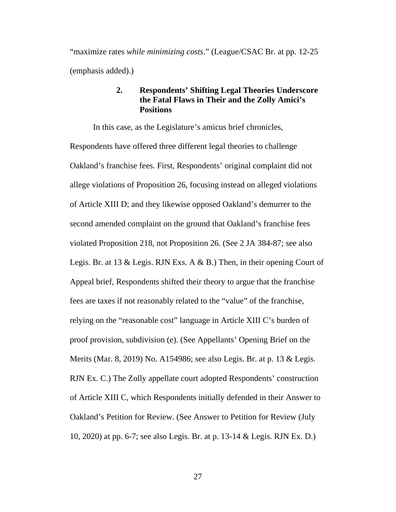"maximize rates *while minimizing costs*." (League/CSAC Br. at pp. 12-25 (emphasis added).)

## **2. Respondents' Shifting Legal Theories Underscore the Fatal Flaws in Their and the Zolly Amici's Positions**

In this case, as the Legislature's amicus brief chronicles, Respondents have offered three different legal theories to challenge Oakland's franchise fees. First, Respondents' original complaint did not allege violations of Proposition 26, focusing instead on alleged violations of Article XIII D; and they likewise opposed Oakland's demurrer to the second amended complaint on the ground that Oakland's franchise fees violated Proposition 218, not Proposition 26. (See 2 JA 384-87; see also Legis. Br. at 13 & Legis. RJN Exs. A & B.) Then, in their opening Court of Appeal brief, Respondents shifted their theory to argue that the franchise fees are taxes if not reasonably related to the "value" of the franchise, relying on the "reasonable cost" language in Article XIII C's burden of proof provision, subdivision (e). (See Appellants' Opening Brief on the Merits (Mar. 8, 2019) No. A154986; see also Legis. Br. at p. 13 & Legis. RJN Ex. C.) The Zolly appellate court adopted Respondents' construction of Article XIII C, which Respondents initially defended in their Answer to Oakland's Petition for Review. (See Answer to Petition for Review (July 10, 2020) at pp. 6-7; see also Legis. Br. at p. 13-14 & Legis. RJN Ex. D.)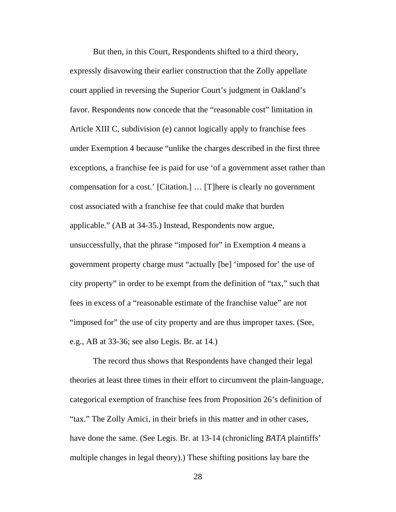But then, in this Court, Respondents shifted to a third theory, expressly disavowing their earlier construction that the Zolly appellate court applied in reversing the Superior Court's judgment in Oakland's favor. Respondents now concede that the "reasonable cost" limitation in Article XIII C, subdivision (e) cannot logically apply to franchise fees under Exemption 4 because "unlike the charges described in the first three exceptions, a franchise fee is paid for use 'of a government asset rather than compensation for a cost.' [Citation.] … [T]here is clearly no government cost associated with a franchise fee that could make that burden applicable." (AB at 34-35.) Instead, Respondents now argue, unsuccessfully, that the phrase "imposed for" in Exemption 4 means a government property charge must "actually [be] 'imposed for' the use of city property" in order to be exempt from the definition of "tax," such that fees in excess of a "reasonable estimate of the franchise value" are not "imposed for" the use of city property and are thus improper taxes. (See, e.g., AB at 33-36; see also Legis. Br. at 14.)

The record thus shows that Respondents have changed their legal theories at least three times in their effort to circumvent the plain-language, categorical exemption of franchise fees from Proposition 26's definition of "tax." The Zolly Amici, in their briefs in this matter and in other cases, have done the same. (See Legis. Br. at 13-14 (chronicling *BATA* plaintiffs' multiple changes in legal theory).) These shifting positions lay bare the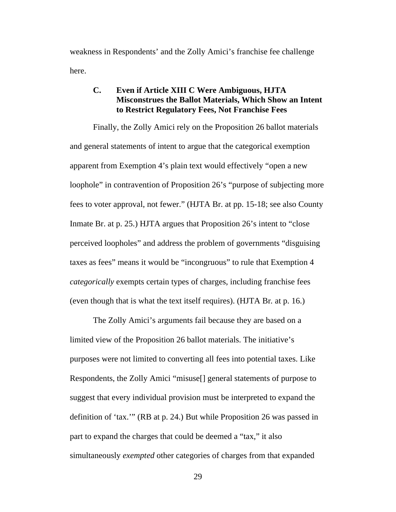weakness in Respondents' and the Zolly Amici's franchise fee challenge here.

## **C. Even if Article XIII C Were Ambiguous, HJTA Misconstrues the Ballot Materials, Which Show an Intent to Restrict Regulatory Fees, Not Franchise Fees**

Finally, the Zolly Amici rely on the Proposition 26 ballot materials and general statements of intent to argue that the categorical exemption apparent from Exemption 4's plain text would effectively "open a new loophole" in contravention of Proposition 26's "purpose of subjecting more fees to voter approval, not fewer." (HJTA Br. at pp. 15-18; see also County Inmate Br. at p. 25.) HJTA argues that Proposition 26's intent to "close perceived loopholes" and address the problem of governments "disguising taxes as fees" means it would be "incongruous" to rule that Exemption 4 *categorically* exempts certain types of charges, including franchise fees (even though that is what the text itself requires). (HJTA Br*.* at p. 16.)

The Zolly Amici's arguments fail because they are based on a limited view of the Proposition 26 ballot materials. The initiative's purposes were not limited to converting all fees into potential taxes. Like Respondents, the Zolly Amici "misuse[] general statements of purpose to suggest that every individual provision must be interpreted to expand the definition of 'tax.'" (RB at p. 24.) But while Proposition 26 was passed in part to expand the charges that could be deemed a "tax," it also simultaneously *exempted* other categories of charges from that expanded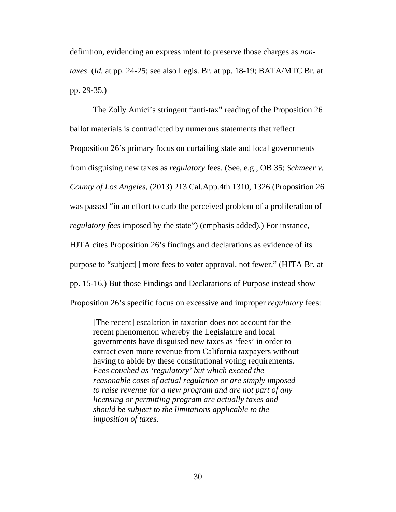definition, evidencing an express intent to preserve those charges as *nontaxes*. (*Id.* at pp. 24-25; see also Legis. Br. at pp. 18-19; BATA/MTC Br. at pp. 29-35.)

The Zolly Amici's stringent "anti-tax" reading of the Proposition 26 ballot materials is contradicted by numerous statements that reflect Proposition 26's primary focus on curtailing state and local governments from disguising new taxes as *regulatory* fees. (See, e.g., OB 35; *Schmeer v. County of Los Angeles,* (2013) 213 Cal.App.4th 1310, 1326 (Proposition 26 was passed "in an effort to curb the perceived problem of a proliferation of *regulatory fees* imposed by the state") (emphasis added).) For instance, HJTA cites Proposition 26's findings and declarations as evidence of its purpose to "subject[] more fees to voter approval, not fewer." (HJTA Br. at pp. 15-16.) But those Findings and Declarations of Purpose instead show Proposition 26's specific focus on excessive and improper *regulatory* fees:

[The recent] escalation in taxation does not account for the recent phenomenon whereby the Legislature and local governments have disguised new taxes as 'fees' in order to extract even more revenue from California taxpayers without having to abide by these constitutional voting requirements. *Fees couched as 'regulatory' but which exceed the reasonable costs of actual regulation or are simply imposed to raise revenue for a new program and are not part of any licensing or permitting program are actually taxes and should be subject to the limitations applicable to the imposition of taxes*.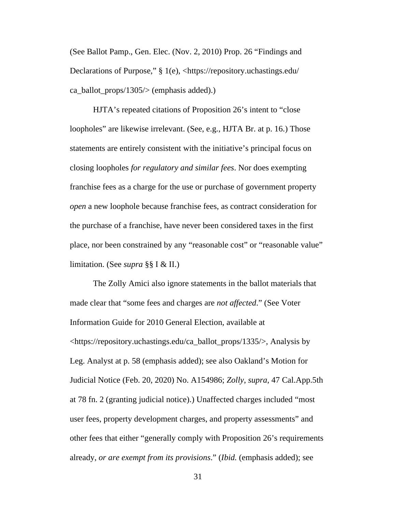(See Ballot Pamp., Gen. Elec. (Nov. 2, 2010) Prop. 26 "Findings and Declarations of Purpose," § 1(e), <https://repository.uchastings.edu/ ca\_ballot\_props/1305/> (emphasis added).)

HJTA's repeated citations of Proposition 26's intent to "close loopholes" are likewise irrelevant. (See, e.g., HJTA Br. at p. 16.) Those statements are entirely consistent with the initiative's principal focus on closing loopholes *for regulatory and similar fees*. Nor does exempting franchise fees as a charge for the use or purchase of government property *open* a new loophole because franchise fees, as contract consideration for the purchase of a franchise, have never been considered taxes in the first place, nor been constrained by any "reasonable cost" or "reasonable value" limitation. (See *supra* §§ I & II.)

The Zolly Amici also ignore statements in the ballot materials that made clear that "some fees and charges are *not affected*." (See Voter Information Guide for 2010 General Election, available at <https://repository.uchastings.edu/ca\_ballot\_props/1335/>, Analysis by Leg. Analyst at p. 58 (emphasis added); see also Oakland's Motion for Judicial Notice (Feb. 20, 2020) No. A154986; *Zolly*, *supra*, 47 Cal.App.5th at 78 fn. 2 (granting judicial notice).) Unaffected charges included "most user fees, property development charges, and property assessments" and other fees that either "generally comply with Proposition 26's requirements already, *or are exempt from its provisions*." (*Ibid.* (emphasis added); see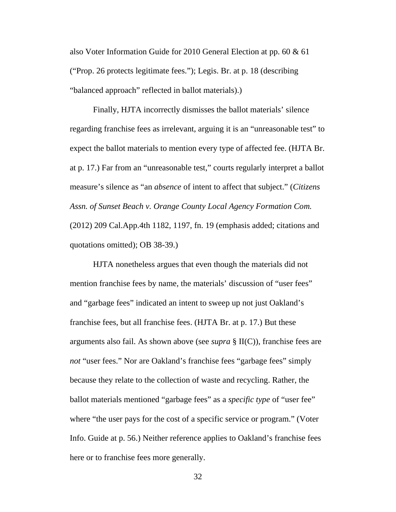also Voter Information Guide for 2010 General Election at pp. 60 & 61 ("Prop. 26 protects legitimate fees."); Legis. Br. at p. 18 (describing "balanced approach" reflected in ballot materials).)

Finally, HJTA incorrectly dismisses the ballot materials' silence regarding franchise fees as irrelevant, arguing it is an "unreasonable test" to expect the ballot materials to mention every type of affected fee. (HJTA Br. at p. 17.) Far from an "unreasonable test," courts regularly interpret a ballot measure's silence as "an *absence* of intent to affect that subject." (*Citizens Assn. of Sunset Beach v. Orange County Local Agency Formation Com.* (2012) 209 Cal.App.4th 1182, 1197, fn. 19 (emphasis added; citations and quotations omitted); OB 38-39.)

HJTA nonetheless argues that even though the materials did not mention franchise fees by name, the materials' discussion of "user fees" and "garbage fees" indicated an intent to sweep up not just Oakland's franchise fees, but all franchise fees. (HJTA Br. at p. 17.) But these arguments also fail. As shown above (see *supra* § II(C)), franchise fees are *not* "user fees." Nor are Oakland's franchise fees "garbage fees" simply because they relate to the collection of waste and recycling. Rather, the ballot materials mentioned "garbage fees" as a *specific type* of "user fee" where "the user pays for the cost of a specific service or program." (Voter Info. Guide at p. 56.) Neither reference applies to Oakland's franchise fees here or to franchise fees more generally.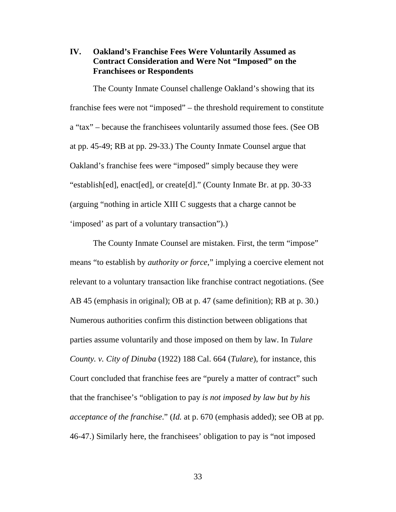## **IV. Oakland's Franchise Fees Were Voluntarily Assumed as Contract Consideration and Were Not "Imposed" on the Franchisees or Respondents**

The County Inmate Counsel challenge Oakland's showing that its franchise fees were not "imposed" – the threshold requirement to constitute a "tax" – because the franchisees voluntarily assumed those fees. (See OB at pp. 45-49; RB at pp. 29-33.) The County Inmate Counsel argue that Oakland's franchise fees were "imposed" simply because they were "establish[ed], enact[ed], or create[d]." (County Inmate Br. at pp. 30-33 (arguing "nothing in article XIII C suggests that a charge cannot be 'imposed' as part of a voluntary transaction").)

The County Inmate Counsel are mistaken. First, the term "impose" means "to establish by *authority or force*," implying a coercive element not relevant to a voluntary transaction like franchise contract negotiations. (See AB 45 (emphasis in original); OB at p. 47 (same definition); RB at p. 30.) Numerous authorities confirm this distinction between obligations that parties assume voluntarily and those imposed on them by law. In *Tulare County. v. City of Dinuba* (1922) 188 Cal. 664 (*Tulare*), for instance, this Court concluded that franchise fees are "purely a matter of contract" such that the franchisee's "obligation to pay *is not imposed by law but by his acceptance of the franchise*." (*Id.* at p. 670 (emphasis added); see OB at pp. 46-47.) Similarly here, the franchisees' obligation to pay is "not imposed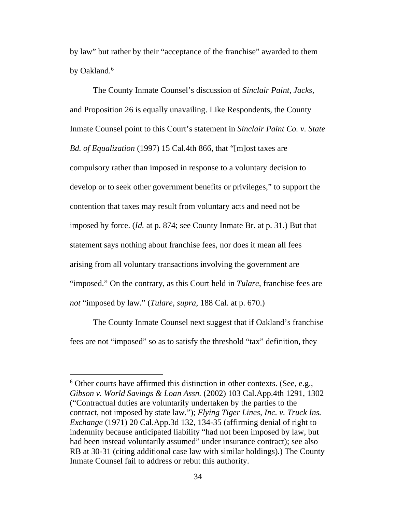by law" but rather by their "acceptance of the franchise" awarded to them by Oakland.<sup>6</sup>

The County Inmate Counsel's discussion of *Sinclair Paint*, *Jacks*, and Proposition 26 is equally unavailing. Like Respondents, the County Inmate Counsel point to this Court's statement in *Sinclair Paint Co. v. State Bd. of Equalization* (1997) 15 Cal.4th 866, that "[m]ost taxes are compulsory rather than imposed in response to a voluntary decision to develop or to seek other government benefits or privileges," to support the contention that taxes may result from voluntary acts and need not be imposed by force. (*Id.* at p. 874; see County Inmate Br. at p. 31.) But that statement says nothing about franchise fees, nor does it mean all fees arising from all voluntary transactions involving the government are "imposed." On the contrary, as this Court held in *Tulare*, franchise fees are *not* "imposed by law." (*Tulare*, *supra*, 188 Cal. at p. 670.)

The County Inmate Counsel next suggest that if Oakland's franchise fees are not "imposed" so as to satisfy the threshold "tax" definition, they

<sup>&</sup>lt;sup>6</sup> Other courts have affirmed this distinction in other contexts. (See, e.g., *Gibson v. World Savings & Loan Assn.* (2002) 103 Cal.App.4th 1291, 1302 ("Contractual duties are voluntarily undertaken by the parties to the contract, not imposed by state law."); *Flying Tiger Lines, Inc. v. Truck Ins. Exchange* (1971) 20 Cal.App.3d 132, 134-35 (affirming denial of right to indemnity because anticipated liability "had not been imposed by law, but had been instead voluntarily assumed" under insurance contract); see also RB at 30-31 (citing additional case law with similar holdings).) The County Inmate Counsel fail to address or rebut this authority.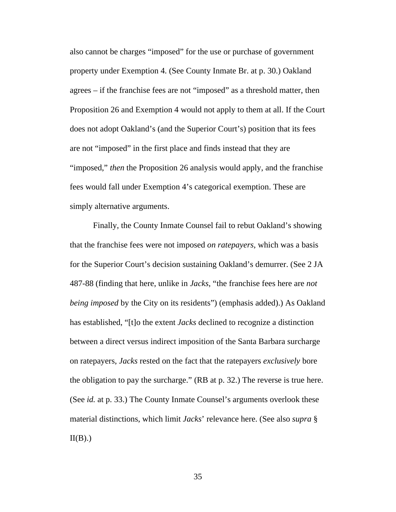also cannot be charges "imposed" for the use or purchase of government property under Exemption 4. (See County Inmate Br. at p. 30.) Oakland agrees – if the franchise fees are not "imposed" as a threshold matter, then Proposition 26 and Exemption 4 would not apply to them at all. If the Court does not adopt Oakland's (and the Superior Court's) position that its fees are not "imposed" in the first place and finds instead that they are "imposed," *then* the Proposition 26 analysis would apply, and the franchise fees would fall under Exemption 4's categorical exemption. These are simply alternative arguments.

Finally, the County Inmate Counsel fail to rebut Oakland's showing that the franchise fees were not imposed *on ratepayers*, which was a basis for the Superior Court's decision sustaining Oakland's demurrer. (See 2 JA 487-88 (finding that here, unlike in *Jacks*, "the franchise fees here are *not being imposed* by the City on its residents") (emphasis added).) As Oakland has established, "[t]o the extent *Jacks* declined to recognize a distinction between a direct versus indirect imposition of the Santa Barbara surcharge on ratepayers, *Jacks* rested on the fact that the ratepayers *exclusively* bore the obligation to pay the surcharge." (RB at p. 32.) The reverse is true here. (See *id.* at p. 33.) The County Inmate Counsel's arguments overlook these material distinctions, which limit *Jacks*' relevance here. (See also *supra* §  $II(B)$ .)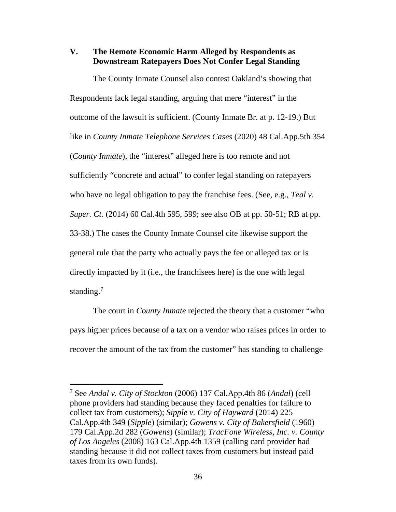### **V. The Remote Economic Harm Alleged by Respondents as Downstream Ratepayers Does Not Confer Legal Standing**

The County Inmate Counsel also contest Oakland's showing that Respondents lack legal standing, arguing that mere "interest" in the outcome of the lawsuit is sufficient. (County Inmate Br. at p. 12-19.) But like in *County Inmate Telephone Services Cases* (2020) 48 Cal.App.5th 354 (*County Inmate*), the "interest" alleged here is too remote and not sufficiently "concrete and actual" to confer legal standing on ratepayers who have no legal obligation to pay the franchise fees. (See, e.g., *Teal v. Super. Ct.* (2014) 60 Cal.4th 595, 599; see also OB at pp. 50-51; RB at pp. 33-38.) The cases the County Inmate Counsel cite likewise support the general rule that the party who actually pays the fee or alleged tax or is directly impacted by it (i.e., the franchisees here) is the one with legal standing.<sup>7</sup>

The court in *County Inmate* rejected the theory that a customer "who pays higher prices because of a tax on a vendor who raises prices in order to recover the amount of the tax from the customer" has standing to challenge

<sup>7</sup> See *Andal v. City of Stockton* (2006) 137 Cal.App.4th 86 (*Andal*) (cell phone providers had standing because they faced penalties for failure to collect tax from customers); *Sipple v. City of Hayward* (2014) 225 Cal.App.4th 349 (*Sipple*) (similar); *Gowens v. City of Bakersfield* (1960) 179 Cal.App.2d 282 (*Gowens*) (similar); *TracFone Wireless, Inc. v. County of Los Angeles* (2008) 163 Cal.App.4th 1359 (calling card provider had standing because it did not collect taxes from customers but instead paid taxes from its own funds).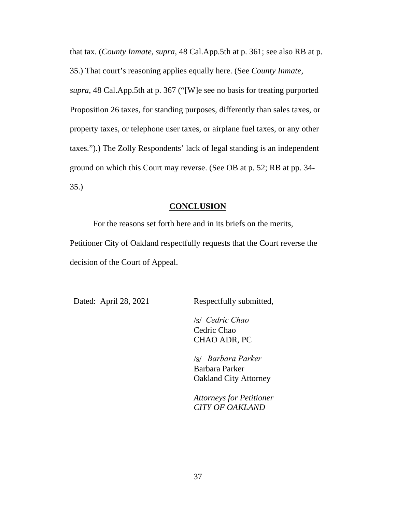that tax. (*County Inmate*, *supra*, 48 Cal.App.5th at p. 361; see also RB at p.

35.) That court's reasoning applies equally here. (See *County Inmate*,

*supra*, 48 Cal.App.5th at p. 367 ("[W]e see no basis for treating purported Proposition 26 taxes, for standing purposes, differently than sales taxes, or property taxes, or telephone user taxes, or airplane fuel taxes, or any other taxes.").) The Zolly Respondents' lack of legal standing is an independent ground on which this Court may reverse. (See OB at p. 52; RB at pp. 34- 35.)

## **CONCLUSION**

For the reasons set forth here and in its briefs on the merits, Petitioner City of Oakland respectfully requests that the Court reverse the decision of the Court of Appeal.

Dated: April 28, 2021 Respectfully submitted,

<u>/s/ Cedric Chao</u> Cedric Chao CHAO ADR, PC

/s/ Barbara Parker Barbara Parker Oakland City Attorney

*Attorneys for Petitioner CITY OF OAKLAND*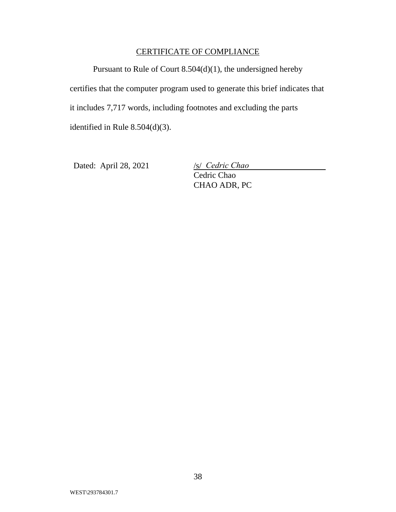## CERTIFICATE OF COMPLIANCE

Pursuant to Rule of Court 8.504(d)(1), the undersigned hereby certifies that the computer program used to generate this brief indicates that it includes 7,717 words, including footnotes and excluding the parts identified in Rule 8.504(d)(3).

Dated: April 28, 2021

Cedric Chao CHAO ADR, PC */s/ Cedric Chao*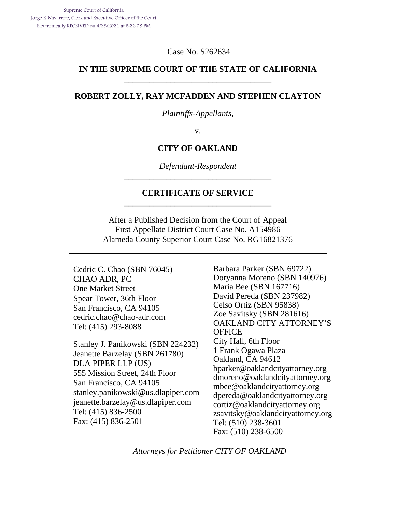Case No. S262634

### **IN THE SUPREME COURT OF THE STATE OF CALIFORNIA**  \_\_\_\_\_\_\_\_\_\_\_\_\_\_\_\_\_\_\_\_\_\_\_\_\_\_\_\_\_\_\_\_\_\_\_

#### **ROBERT ZOLLY, RAY MCFADDEN AND STEPHEN CLAYTON**

*Plaintiffs-Appellants*,

v.

#### **CITY OF OAKLAND**

*Defendant-Respondent*  \_\_\_\_\_\_\_\_\_\_\_\_\_\_\_\_\_\_\_\_\_\_\_\_\_\_\_\_\_\_\_\_\_\_\_

#### **CERTIFICATE OF SERVICE**  \_\_\_\_\_\_\_\_\_\_\_\_\_\_\_\_\_\_\_\_\_\_\_\_\_\_\_\_\_\_\_\_\_\_\_

After a Published Decision from the Court of Appeal First Appellate District Court Case No. A154986 Alameda County Superior Court Case No. RG16821376

Cedric C. Chao (SBN 76045) CHAO ADR, PC One Market Street Spear Tower, 36th Floor San Francisco, CA 94105 cedric.chao@chao-adr.com Tel: (415) 293-8088

Stanley J. Panikowski (SBN 224232) Jeanette Barzelay (SBN 261780) DLA PIPER LLP (US) 555 Mission Street, 24th Floor San Francisco, CA 94105 stanley.panikowski@us.dlapiper.com jeanette.barzelay@us.dlapiper.com Tel: (415) 836-2500 Fax: (415) 836-2501

Barbara Parker (SBN 69722) Doryanna Moreno (SBN 140976) Maria Bee (SBN 167716) David Pereda (SBN 237982) Celso Ortiz (SBN 95838) Zoe Savitsky (SBN 281616) OAKLAND CITY ATTORNEY'S **OFFICE** City Hall, 6th Floor 1 Frank Ogawa Plaza Oakland, CA 94612 bparker@oaklandcityattorney.org dmoreno@oaklandcityattorney.org mbee@oaklandcityattorney.org dpereda@oaklandcityattorney.org cortiz@oaklandcityattorney.org zsavitsky@oaklandcityattorney.org Tel: (510) 238-3601 Fax: (510) 238-6500

*Attorneys for Petitioner CITY OF OAKLAND*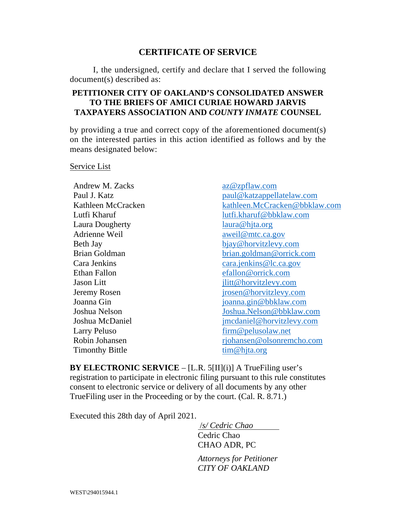## **CERTIFICATE OF SERVICE**

I, the undersigned, certify and declare that I served the following document(s) described as:

## **PETITIONER CITY OF OAKLAND'S CONSOLIDATED ANSWER TO THE BRIEFS OF AMICI CURIAE HOWARD JARVIS TAXPAYERS ASSOCIATION AND** *COUNTY INMATE* **COUNSEL**

by providing a true and correct copy of the aforementioned document(s) on the interested parties in this action identified as follows and by the means designated below:

#### Service List

Andrew M. Zacks az@zpflaw.com Laura Dougherty laura@hita.org Adrienne Weil aweil@mtc.ca.gov Ethan Fallon efallon efallon @orrick.com Larry Peluso firm @ pelusolaw.net Timonthy Bittle tim@hjta.org

Paul J. Katz paul@katzappellatelaw.com Kathleen McCracken kathleen.McCracken@bbklaw.com Lutfi Kharuf lutfi.kharuf@bbklaw.com Beth Jay bjay@horvitzlevy.com Brian Goldman brian.goldman@orrick.com Cara Jenkins cara.jenkins@lc.ca.gov Jason Litt jlitt@horvitzlevy.com Jeremy Rosen jrosen@horvitzlevy.com Joanna Gin joanna.gin@bbklaw.com Joshua Nelson Joshua.Nelson@bbklaw.com Joshua McDaniel jmcdaniel@horvitzlevy.com Robin Johansen rjohansen @olsonremcho.com

**BY ELECTRONIC SERVICE** – [L.R. 5[II](i)] A TrueFiling user's registration to participate in electronic filing pursuant to this rule constitutes consent to electronic service or delivery of all documents by any other TrueFiling user in the Proceeding or by the court. (Cal. R. 8.71.)

Executed this 28th day of April 2021.

 /*s/ Cedric Chao*  Cedric Chao CHAO ADR, PC

*Attorneys for Petitioner CITY OF OAKLAND*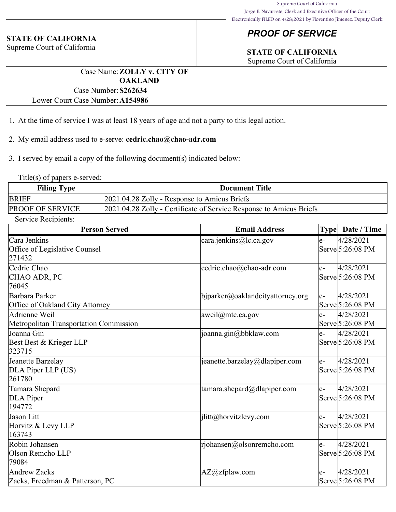# *PROOF OF SERVICE*

# **STATE OF CALIFORNIA**

Supreme Court of California

Case Name:**ZOLLY v. CITY OF OAKLAND** Case Number:**S262634**

Lower Court Case Number:**A154986**

- 1. At the time of service I was at least 18 years of age and not a party to this legal action.
- 2. My email address used to e-serve: **cedric.chao@chao-adr.com**
- 3. I served by email a copy of the following document(s) indicated below:

Title(s) of papers e-served:

**STATE OF CALIFORNIA** Supreme Court of California

| <b>Filing Type</b>      | <b>Document Title</b>                                               |
|-------------------------|---------------------------------------------------------------------|
| <b>BRIEF</b>            | 2021.04.28 Zolly - Response to Amicus Briefs                        |
| <b>PROOF OF SERVICE</b> | 2021.04.28 Zolly - Certificate of Service Response to Amicus Briefs |

Service Recipients:

| <b>Person Served</b>                   | <b>Email Address</b>                | <b>Type</b> | Date / Time      |
|----------------------------------------|-------------------------------------|-------------|------------------|
| Cara Jenkins                           | cara.jenkins@lc.ca.gov              | e-          | 4/28/2021        |
| Office of Legislative Counsel          |                                     |             | Serve 5:26:08 PM |
| 271432                                 |                                     |             |                  |
| Cedric Chao                            | cedric.chao@chao-adr.com            | le-         | 4/28/2021        |
| CHAO ADR, PC                           |                                     |             | Serve 5:26:08 PM |
| 76045                                  |                                     |             |                  |
| Barbara Parker                         | $b$ jparker@oaklandcityattorney.org | e-          | 4/28/2021        |
| Office of Oakland City Attorney        |                                     |             | Serve 5:26:08 PM |
| Adrienne Weil                          | aweil@mtc.ca.gov                    | le-         | 4/28/2021        |
| Metropolitan Transportation Commission |                                     |             | Serve 5:26:08 PM |
| Joanna Gin                             | $\vert$ joanna.gin@bbklaw.com       | le-         | 4/28/2021        |
| Best Best & Krieger LLP                |                                     |             | Serve 5:26:08 PM |
| 323715                                 |                                     |             |                  |
| Jeanette Barzelay                      | jeanette.barzelay@dlapiper.com      | $e-$        | 4/28/2021        |
| DLA Piper LLP (US)                     |                                     |             | Serve 5:26:08 PM |
| 261780                                 |                                     |             |                  |
| Tamara Shepard                         | tamara.shepard@dlapiper.com         | le-         | 4/28/2021        |
| DLA Piper                              |                                     |             | Serve 5:26:08 PM |
| 194772                                 |                                     |             |                  |
| Jason Litt                             | jlitt@horvitzlevy.com               | le-         | 4/28/2021        |
| Horvitz & Levy LLP                     |                                     |             | Serve 5:26:08 PM |
| 163743                                 |                                     |             |                  |
| Robin Johansen                         | rjohansen@olsonremcho.com           | le-         | 4/28/2021        |
| Olson Remcho LLP                       |                                     |             | Serve 5:26:08 PM |
| 79084                                  |                                     |             |                  |
| <b>Andrew Zacks</b>                    | AZ@zfplaw.com                       | $e-$        | 4/28/2021        |
| Zacks, Freedman & Patterson, PC        |                                     |             | Serve 5:26:08 PM |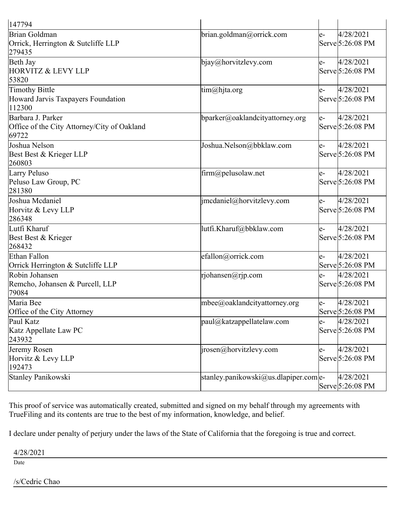| 147794                                                                    |                                       |       |                                        |
|---------------------------------------------------------------------------|---------------------------------------|-------|----------------------------------------|
| Brian Goldman<br>Orrick, Herrington & Sutcliffe LLP<br>279435             | brian.goldman@orrick.com              | $e-$  | 4/28/2021<br>Serve 5:26:08 PM          |
| Beth Jay<br>HORVITZ & LEVY LLP<br>53820                                   | $bigq_{\omega}$ horvitzlevy.com       | $e-$  | 4/28/2021<br>Serve 5:26:08 PM          |
| <b>Timothy Bittle</b><br>Howard Jarvis Taxpayers Foundation<br>112300     | $\lim(\omega)$ hjta.org               | $e-$  | 4/28/2021<br>Serve 5:26:08 PM          |
| Barbara J. Parker<br>Office of the City Attorney/City of Oakland<br>69722 | bparker@oaklandcityattorney.org       | $ e-$ | 4/28/2021<br>Serve 5:26:08 PM          |
| Joshua Nelson<br>Best Best & Krieger LLP<br>260803                        | Joshua.Nelson@bbklaw.com              | le-   | 4/28/2021<br>Serve 5:26:08 PM          |
| Larry Peluso<br>Peluso Law Group, PC<br>281380                            | firm@pelusolaw.net                    | $e-$  | 4/28/2021<br>Serve 5:26:08 PM          |
| Joshua Mcdaniel<br>Horvitz & Levy LLP<br>286348                           | imcdaniel@horvitzlevy.com             | $e-$  | 4/28/2021<br>Serve 5:26:08 PM          |
| Lutfi Kharuf<br>Best Best & Krieger<br>268432                             | lutfi.Kharuf@bbklaw.com               | $e-$  | 4/28/2021<br>Serve 5:26:08 PM          |
| Ethan Fallon<br>Orrick Herrington & Sutcliffe LLP                         | efallon@orrick.com                    | $e-$  | 4/28/2021<br>Serve 5:26:08 PM          |
| Robin Johansen<br>Remcho, Johansen & Purcell, LLP<br>79084                | rjohansen@rjp.com                     | le-   | 4/28/2021<br>Serve 5:26:08 PM          |
| Maria Bee<br>Office of the City Attorney                                  | mbee@oaklandcityattorney.org          | $ e-$ | 4/28/2021<br>Serve 5:26:08 PM          |
| Paul Katz<br>Katz Appellate Law PC<br>243932                              | $ $ paul@katzappellatelaw.com         | $e-$  | 4/28/2021<br>Serve 5:26:08 PM          |
| Jeremy Rosen<br>Horvitz & Levy LLP<br>192473                              | $ i$ rosen@horvitzlevy.com            | $ e-$ | 4/28/2021<br>Serve 5:26:08 PM          |
| Stanley Panikowski                                                        | stanley.panikowski@us.dlapiper.com e- |       | 4/28/2021<br>$\text{Serve}$ 5:26:08 PM |

This proof of service was automatically created, submitted and signed on my behalf through my agreements with TrueFiling and its contents are true to the best of my information, knowledge, and belief.

I declare under penalty of perjury under the laws of the State of California that the foregoing is true and correct.

4/28/2021

Date

/s/Cedric Chao